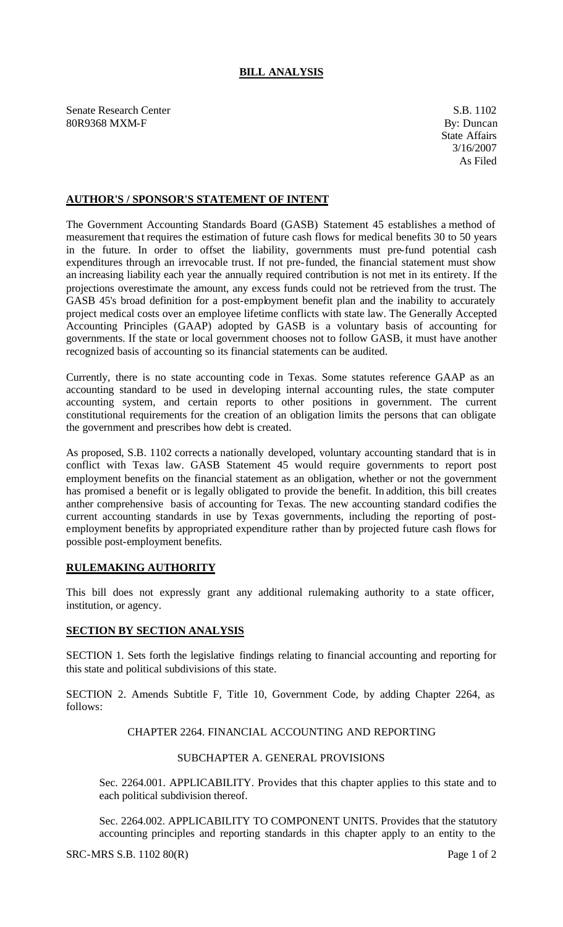## **BILL ANALYSIS**

Senate Research Center S.B. 1102 80R9368 MXM-F By: Duncan

## **AUTHOR'S / SPONSOR'S STATEMENT OF INTENT**

The Government Accounting Standards Board (GASB) Statement 45 establishes a method of measurement that requires the estimation of future cash flows for medical benefits 30 to 50 years in the future. In order to offset the liability, governments must pre-fund potential cash expenditures through an irrevocable trust. If not pre-funded, the financial statement must show an increasing liability each year the annually required contribution is not met in its entirety. If the projections overestimate the amount, any excess funds could not be retrieved from the trust. The GASB 45's broad definition for a post-employment benefit plan and the inability to accurately project medical costs over an employee lifetime conflicts with state law. The Generally Accepted Accounting Principles (GAAP) adopted by GASB is a voluntary basis of accounting for governments. If the state or local government chooses not to follow GASB, it must have another recognized basis of accounting so its financial statements can be audited.

Currently, there is no state accounting code in Texas. Some statutes reference GAAP as an accounting standard to be used in developing internal accounting rules, the state computer accounting system, and certain reports to other positions in government. The current constitutional requirements for the creation of an obligation limits the persons that can obligate the government and prescribes how debt is created.

As proposed, S.B. 1102 corrects a nationally developed, voluntary accounting standard that is in conflict with Texas law. GASB Statement 45 would require governments to report post employment benefits on the financial statement as an obligation, whether or not the government has promised a benefit or is legally obligated to provide the benefit. In addition, this bill creates anther comprehensive basis of accounting for Texas. The new accounting standard codifies the current accounting standards in use by Texas governments, including the reporting of postemployment benefits by appropriated expenditure rather than by projected future cash flows for possible post-employment benefits.

# **RULEMAKING AUTHORITY**

This bill does not expressly grant any additional rulemaking authority to a state officer, institution, or agency.

### **SECTION BY SECTION ANALYSIS**

SECTION 1. Sets forth the legislative findings relating to financial accounting and reporting for this state and political subdivisions of this state.

SECTION 2. Amends Subtitle F, Title 10, Government Code, by adding Chapter 2264, as follows:

## CHAPTER 2264. FINANCIAL ACCOUNTING AND REPORTING

## SUBCHAPTER A. GENERAL PROVISIONS

Sec. 2264.001. APPLICABILITY. Provides that this chapter applies to this state and to each political subdivision thereof.

Sec. 2264.002. APPLICABILITY TO COMPONENT UNITS. Provides that the statutory accounting principles and reporting standards in this chapter apply to an entity to the